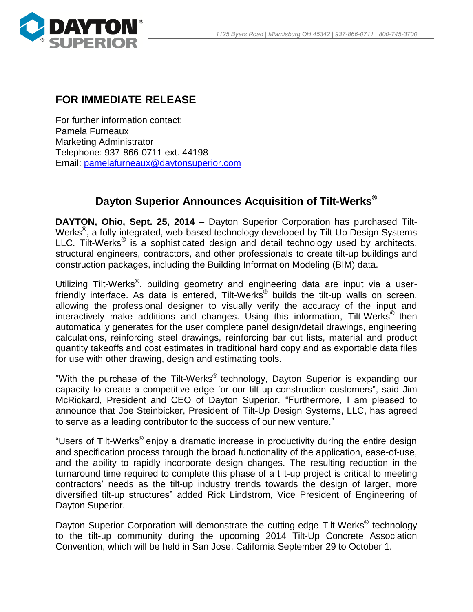

## **FOR IMMEDIATE RELEASE**

For further information contact: Pamela Furneaux Marketing Administrator Telephone: 937-866-0711 ext. 44198 Email: [pamelafurneaux@daytonsuperior.com](mailto:pamelafurneaux@daytonsuperior.com)

## **Dayton Superior Announces Acquisition of Tilt-Werks®**

**DAYTON, Ohio, Sept. 25, 2014 –** Dayton Superior Corporation has purchased Tilt-Werks<sup>®</sup>, a fully-integrated, web-based technology developed by Tilt-Up Design Systems LLC. Tilt-Werks® is a sophisticated design and detail technology used by architects, structural engineers, contractors, and other professionals to create tilt-up buildings and construction packages, including the Building Information Modeling (BIM) data.

Utilizing Tilt-Werks<sup>®</sup>, building geometry and engineering data are input via a userfriendly interface. As data is entered, Tilt-Werks<sup>®</sup> builds the tilt-up walls on screen, allowing the professional designer to visually verify the accuracy of the input and interactively make additions and changes. Using this information, Tilt-Werks® then automatically generates for the user complete panel design/detail drawings, engineering calculations, reinforcing steel drawings, reinforcing bar cut lists, material and product quantity takeoffs and cost estimates in traditional hard copy and as exportable data files for use with other drawing, design and estimating tools.

"With the purchase of the Tilt-Werks® technology, Dayton Superior is expanding our capacity to create a competitive edge for our tilt-up construction customers", said Jim McRickard, President and CEO of Dayton Superior. "Furthermore, I am pleased to announce that Joe Steinbicker, President of Tilt-Up Design Systems, LLC, has agreed to serve as a leading contributor to the success of our new venture."

"Users of Tilt-Werks® enjoy a dramatic increase in productivity during the entire design and specification process through the broad functionality of the application, ease-of-use, and the ability to rapidly incorporate design changes. The resulting reduction in the turnaround time required to complete this phase of a tilt-up project is critical to meeting contractors' needs as the tilt-up industry trends towards the design of larger, more diversified tilt-up structures" added Rick Lindstrom, Vice President of Engineering of Dayton Superior.

Dayton Superior Corporation will demonstrate the cutting-edge Tilt-Werks<sup>®</sup> technology to the tilt-up community during the upcoming 2014 Tilt-Up Concrete Association Convention, which will be held in San Jose, California September 29 to October 1.